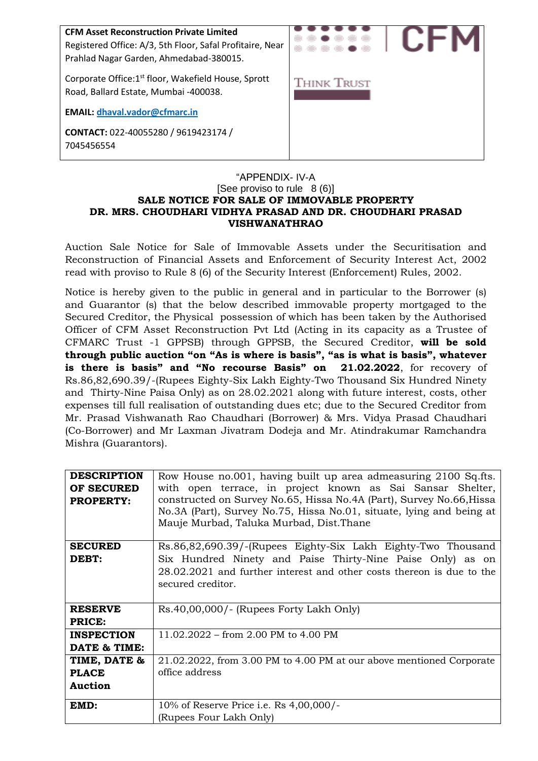| <b>CFM Asset Reconstruction Private Limited</b><br>Registered Office: A/3, 5th Floor, Safal Profitaire, Near<br>Prahlad Nagar Garden, Ahmedabad-380015. |                    |
|---------------------------------------------------------------------------------------------------------------------------------------------------------|--------------------|
| Corporate Office: 1 <sup>st</sup> floor, Wakefield House, Sprott<br>Road, Ballard Estate, Mumbai -400038.                                               | <b>THINK TRUST</b> |
| <b>EMAIL: dhaval.vador@cfmarc.in</b>                                                                                                                    |                    |
| CONTACT: 022-40055280 / 9619423174 /<br>7045456554                                                                                                      |                    |

#### "APPENDIX- IV-A [See proviso to rule 8 (6)] **SALE NOTICE FOR SALE OF IMMOVABLE PROPERTY DR. MRS. CHOUDHARI VIDHYA PRASAD AND DR. CHOUDHARI PRASAD VISHWANATHRAO**

Auction Sale Notice for Sale of Immovable Assets under the Securitisation and Reconstruction of Financial Assets and Enforcement of Security Interest Act, 2002 read with proviso to Rule 8 (6) of the Security Interest (Enforcement) Rules, 2002.

Notice is hereby given to the public in general and in particular to the Borrower (s) and Guarantor (s) that the below described immovable property mortgaged to the Secured Creditor, the Physical possession of which has been taken by the Authorised Officer of CFM Asset Reconstruction Pvt Ltd (Acting in its capacity as a Trustee of CFMARC Trust -1 GPPSB) through GPPSB, the Secured Creditor, **will be sold through public auction "on "As is where is basis", "as is what is basis", whatever is there is basis" and "No recourse Basis" on 21.02.2022**, for recovery of Rs.86,82,690.39/-(Rupees Eighty-Six Lakh Eighty-Two Thousand Six Hundred Ninety and Thirty-Nine Paisa Only) as on 28.02.2021 along with future interest, costs, other expenses till full realisation of outstanding dues etc; due to the Secured Creditor from Mr. Prasad Vishwanath Rao Chaudhari (Borrower) & Mrs. Vidya Prasad Chaudhari (Co-Borrower) and Mr Laxman Jivatram Dodeja and Mr. Atindrakumar Ramchandra Mishra (Guarantors).

| <b>DESCRIPTION</b><br>OF SECURED<br><b>PROPERTY:</b> | Row House no.001, having built up area admeasuring 2100 Sq.fts.<br>with open terrace, in project known as Sai Sansar Shelter,<br>constructed on Survey No.65, Hissa No.4A (Part), Survey No.66, Hissa<br>No.3A (Part), Survey No.75, Hissa No.01, situate, lying and being at<br>Mauje Murbad, Taluka Murbad, Dist. Thane |
|------------------------------------------------------|---------------------------------------------------------------------------------------------------------------------------------------------------------------------------------------------------------------------------------------------------------------------------------------------------------------------------|
| <b>SECURED</b><br>DEBT:                              | Rs.86,82,690.39/-(Rupees Eighty-Six Lakh Eighty-Two Thousand<br>Six Hundred Ninety and Paise Thirty-Nine Paise Only) as on<br>28.02.2021 and further interest and other costs thereon is due to the<br>secured creditor.                                                                                                  |
| <b>RESERVE</b><br><b>PRICE:</b>                      | Rs.40,00,000/- (Rupees Forty Lakh Only)                                                                                                                                                                                                                                                                                   |
| <b>INSPECTION</b><br>DATE & TIME:                    | 11.02.2022 – from 2.00 PM to 4.00 PM                                                                                                                                                                                                                                                                                      |
| TIME, DATE &<br><b>PLACE</b><br><b>Auction</b>       | 21.02.2022, from 3.00 PM to 4.00 PM at our above mentioned Corporate<br>office address                                                                                                                                                                                                                                    |
| EMD:                                                 | 10% of Reserve Price i.e. Rs $4,00,000$ /-<br>(Rupees Four Lakh Only)                                                                                                                                                                                                                                                     |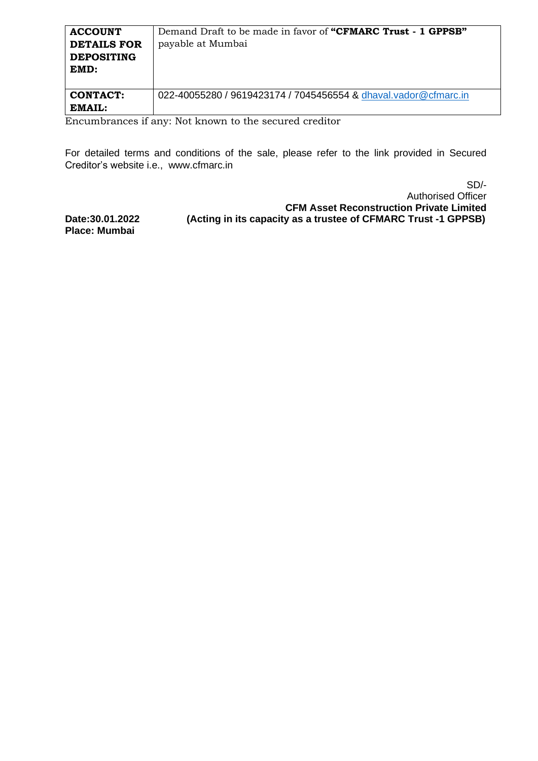| <b>ACCOUNT</b><br><b>DETAILS FOR</b><br><b>DEPOSITING</b><br>EMD: | Demand Draft to be made in favor of "CFMARC Trust - 1 GPPSB"<br>payable at Mumbai |
|-------------------------------------------------------------------|-----------------------------------------------------------------------------------|
| <b>CONTACT:</b>                                                   | 022-40055280 / 9619423174 / 7045456554 & dhaval.vador@cfmarc.in                   |
| EMAIL:<br>$\cdot$ $\sim$<br>$\blacksquare$                        | $\cdots$<br><b>RT</b> . 1                                                         |

Encumbrances if any: Not known to the secured creditor

For detailed terms and conditions of the sale, please refer to the link provided in Secured Creditor's website i.e., www.cfmarc.in

SD/- Authorised Officer **CFM Asset Reconstruction Private Limited Date:30.01.2022 (Acting in its capacity as a trustee of CFMARC Trust -1 GPPSB)**

**Place: Mumbai**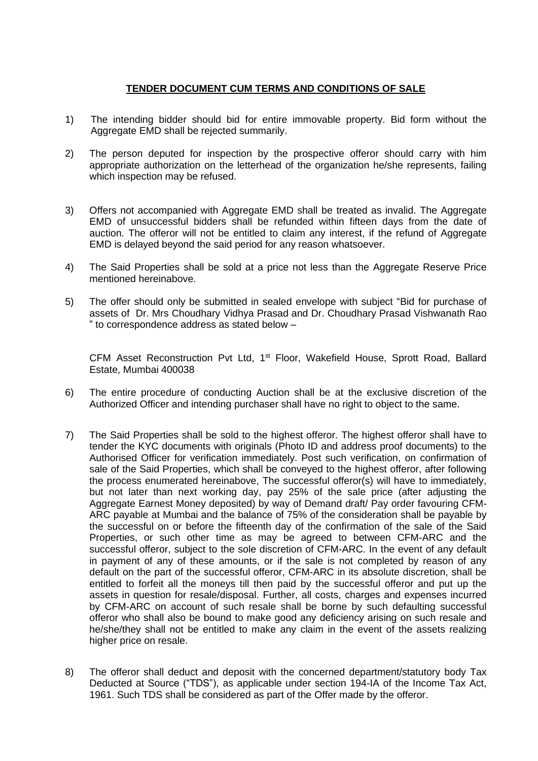## **TENDER DOCUMENT CUM TERMS AND CONDITIONS OF SALE**

- 1) The intending bidder should bid for entire immovable property. Bid form without the Aggregate EMD shall be rejected summarily.
- 2) The person deputed for inspection by the prospective offeror should carry with him appropriate authorization on the letterhead of the organization he/she represents, failing which inspection may be refused.
- 3) Offers not accompanied with Aggregate EMD shall be treated as invalid. The Aggregate EMD of unsuccessful bidders shall be refunded within fifteen days from the date of auction. The offeror will not be entitled to claim any interest, if the refund of Aggregate EMD is delayed beyond the said period for any reason whatsoever.
- 4) The Said Properties shall be sold at a price not less than the Aggregate Reserve Price mentioned hereinabove.
- 5) The offer should only be submitted in sealed envelope with subject "Bid for purchase of assets of Dr. Mrs Choudhary Vidhya Prasad and Dr. Choudhary Prasad Vishwanath Rao " to correspondence address as stated below –

CFM Asset Reconstruction Pvt Ltd, 1<sup>st</sup> Floor, Wakefield House, Sprott Road, Ballard Estate, Mumbai 400038

- 6) The entire procedure of conducting Auction shall be at the exclusive discretion of the Authorized Officer and intending purchaser shall have no right to object to the same.
- 7) The Said Properties shall be sold to the highest offeror. The highest offeror shall have to tender the KYC documents with originals (Photo ID and address proof documents) to the Authorised Officer for verification immediately. Post such verification, on confirmation of sale of the Said Properties, which shall be conveyed to the highest offeror, after following the process enumerated hereinabove, The successful offeror(s) will have to immediately, but not later than next working day, pay 25% of the sale price (after adjusting the Aggregate Earnest Money deposited) by way of Demand draft/ Pay order favouring CFM-ARC payable at Mumbai and the balance of 75% of the consideration shall be payable by the successful on or before the fifteenth day of the confirmation of the sale of the Said Properties, or such other time as may be agreed to between CFM-ARC and the successful offeror, subject to the sole discretion of CFM-ARC. In the event of any default in payment of any of these amounts, or if the sale is not completed by reason of any default on the part of the successful offeror, CFM-ARC in its absolute discretion, shall be entitled to forfeit all the moneys till then paid by the successful offeror and put up the assets in question for resale/disposal. Further, all costs, charges and expenses incurred by CFM-ARC on account of such resale shall be borne by such defaulting successful offeror who shall also be bound to make good any deficiency arising on such resale and he/she/they shall not be entitled to make any claim in the event of the assets realizing higher price on resale.
- 8) The offeror shall deduct and deposit with the concerned department/statutory body Tax Deducted at Source ("TDS"), as applicable under section 194-IA of the Income Tax Act, 1961. Such TDS shall be considered as part of the Offer made by the offeror.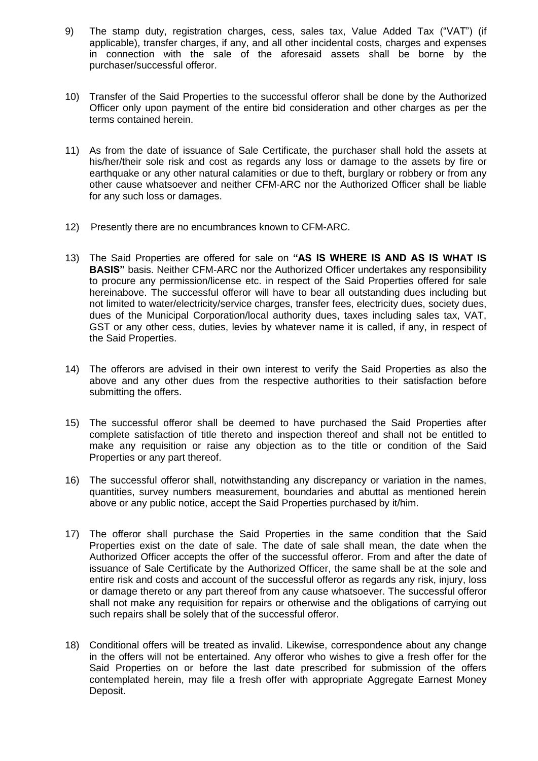- 9) The stamp duty, registration charges, cess, sales tax, Value Added Tax ("VAT") (if applicable), transfer charges, if any, and all other incidental costs, charges and expenses in connection with the sale of the aforesaid assets shall be borne by the purchaser/successful offeror.
- 10) Transfer of the Said Properties to the successful offeror shall be done by the Authorized Officer only upon payment of the entire bid consideration and other charges as per the terms contained herein.
- 11) As from the date of issuance of Sale Certificate, the purchaser shall hold the assets at his/her/their sole risk and cost as regards any loss or damage to the assets by fire or earthquake or any other natural calamities or due to theft, burglary or robbery or from any other cause whatsoever and neither CFM-ARC nor the Authorized Officer shall be liable for any such loss or damages.
- 12) Presently there are no encumbrances known to CFM-ARC.
- 13) The Said Properties are offered for sale on **"AS IS WHERE IS AND AS IS WHAT IS BASIS**" basis. Neither CFM-ARC nor the Authorized Officer undertakes any responsibility to procure any permission/license etc. in respect of the Said Properties offered for sale hereinabove. The successful offeror will have to bear all outstanding dues including but not limited to water/electricity/service charges, transfer fees, electricity dues, society dues, dues of the Municipal Corporation/local authority dues, taxes including sales tax, VAT, GST or any other cess, duties, levies by whatever name it is called, if any, in respect of the Said Properties.
- 14) The offerors are advised in their own interest to verify the Said Properties as also the above and any other dues from the respective authorities to their satisfaction before submitting the offers.
- 15) The successful offeror shall be deemed to have purchased the Said Properties after complete satisfaction of title thereto and inspection thereof and shall not be entitled to make any requisition or raise any objection as to the title or condition of the Said Properties or any part thereof.
- 16) The successful offeror shall, notwithstanding any discrepancy or variation in the names, quantities, survey numbers measurement, boundaries and abuttal as mentioned herein above or any public notice, accept the Said Properties purchased by it/him.
- 17) The offeror shall purchase the Said Properties in the same condition that the Said Properties exist on the date of sale. The date of sale shall mean, the date when the Authorized Officer accepts the offer of the successful offeror. From and after the date of issuance of Sale Certificate by the Authorized Officer, the same shall be at the sole and entire risk and costs and account of the successful offeror as regards any risk, injury, loss or damage thereto or any part thereof from any cause whatsoever. The successful offeror shall not make any requisition for repairs or otherwise and the obligations of carrying out such repairs shall be solely that of the successful offeror.
- 18) Conditional offers will be treated as invalid. Likewise, correspondence about any change in the offers will not be entertained. Any offeror who wishes to give a fresh offer for the Said Properties on or before the last date prescribed for submission of the offers contemplated herein, may file a fresh offer with appropriate Aggregate Earnest Money Deposit.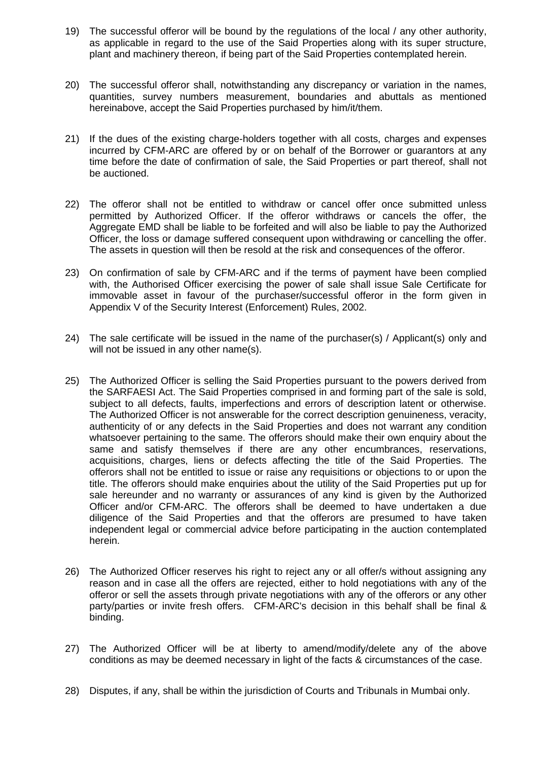- 19) The successful offeror will be bound by the regulations of the local / any other authority, as applicable in regard to the use of the Said Properties along with its super structure, plant and machinery thereon, if being part of the Said Properties contemplated herein.
- 20) The successful offeror shall, notwithstanding any discrepancy or variation in the names, quantities, survey numbers measurement, boundaries and abuttals as mentioned hereinabove, accept the Said Properties purchased by him/it/them.
- 21) If the dues of the existing charge-holders together with all costs, charges and expenses incurred by CFM-ARC are offered by or on behalf of the Borrower or guarantors at any time before the date of confirmation of sale, the Said Properties or part thereof, shall not be auctioned.
- 22) The offeror shall not be entitled to withdraw or cancel offer once submitted unless permitted by Authorized Officer. If the offeror withdraws or cancels the offer, the Aggregate EMD shall be liable to be forfeited and will also be liable to pay the Authorized Officer, the loss or damage suffered consequent upon withdrawing or cancelling the offer. The assets in question will then be resold at the risk and consequences of the offeror.
- 23) On confirmation of sale by CFM-ARC and if the terms of payment have been complied with, the Authorised Officer exercising the power of sale shall issue Sale Certificate for immovable asset in favour of the purchaser/successful offeror in the form given in Appendix V of the Security Interest (Enforcement) Rules, 2002.
- 24) The sale certificate will be issued in the name of the purchaser(s) / Applicant(s) only and will not be issued in any other name(s).
- 25) The Authorized Officer is selling the Said Properties pursuant to the powers derived from the SARFAESI Act. The Said Properties comprised in and forming part of the sale is sold, subject to all defects, faults, imperfections and errors of description latent or otherwise. The Authorized Officer is not answerable for the correct description genuineness, veracity, authenticity of or any defects in the Said Properties and does not warrant any condition whatsoever pertaining to the same. The offerors should make their own enquiry about the same and satisfy themselves if there are any other encumbrances, reservations, acquisitions, charges, liens or defects affecting the title of the Said Properties. The offerors shall not be entitled to issue or raise any requisitions or objections to or upon the title. The offerors should make enquiries about the utility of the Said Properties put up for sale hereunder and no warranty or assurances of any kind is given by the Authorized Officer and/or CFM-ARC. The offerors shall be deemed to have undertaken a due diligence of the Said Properties and that the offerors are presumed to have taken independent legal or commercial advice before participating in the auction contemplated herein.
- 26) The Authorized Officer reserves his right to reject any or all offer/s without assigning any reason and in case all the offers are rejected, either to hold negotiations with any of the offeror or sell the assets through private negotiations with any of the offerors or any other party/parties or invite fresh offers. CFM-ARC's decision in this behalf shall be final & binding.
- 27) The Authorized Officer will be at liberty to amend/modify/delete any of the above conditions as may be deemed necessary in light of the facts & circumstances of the case.
- 28) Disputes, if any, shall be within the jurisdiction of Courts and Tribunals in Mumbai only.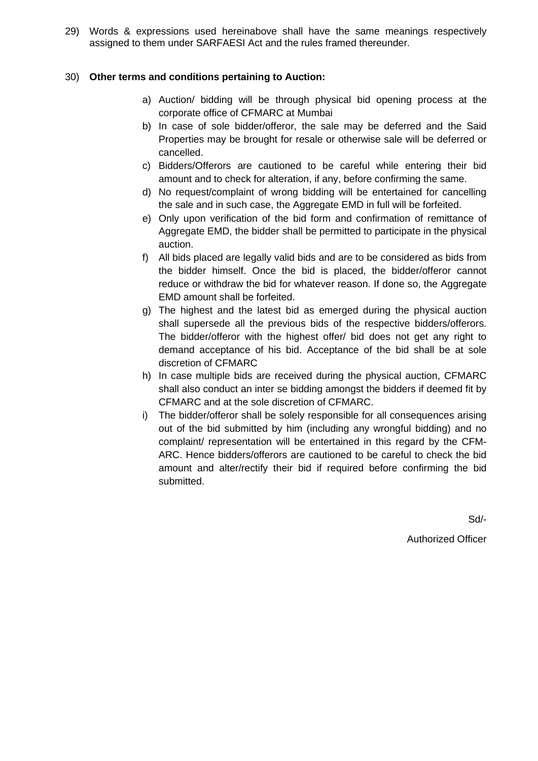29) Words & expressions used hereinabove shall have the same meanings respectively assigned to them under SARFAESI Act and the rules framed thereunder.

#### 30) **Other terms and conditions pertaining to Auction:**

- a) Auction/ bidding will be through physical bid opening process at the corporate office of CFMARC at Mumbai
- b) In case of sole bidder/offeror, the sale may be deferred and the Said Properties may be brought for resale or otherwise sale will be deferred or cancelled.
- c) Bidders/Offerors are cautioned to be careful while entering their bid amount and to check for alteration, if any, before confirming the same.
- d) No request/complaint of wrong bidding will be entertained for cancelling the sale and in such case, the Aggregate EMD in full will be forfeited.
- e) Only upon verification of the bid form and confirmation of remittance of Aggregate EMD, the bidder shall be permitted to participate in the physical auction.
- f) All bids placed are legally valid bids and are to be considered as bids from the bidder himself. Once the bid is placed, the bidder/offeror cannot reduce or withdraw the bid for whatever reason. If done so, the Aggregate EMD amount shall be forfeited.
- g) The highest and the latest bid as emerged during the physical auction shall supersede all the previous bids of the respective bidders/offerors. The bidder/offeror with the highest offer/ bid does not get any right to demand acceptance of his bid. Acceptance of the bid shall be at sole discretion of CFMARC
- h) In case multiple bids are received during the physical auction, CFMARC shall also conduct an inter se bidding amongst the bidders if deemed fit by CFMARC and at the sole discretion of CFMARC.
- i) The bidder/offeror shall be solely responsible for all consequences arising out of the bid submitted by him (including any wrongful bidding) and no complaint/ representation will be entertained in this regard by the CFM-ARC. Hence bidders/offerors are cautioned to be careful to check the bid amount and alter/rectify their bid if required before confirming the bid submitted.

Sd/-

Authorized Officer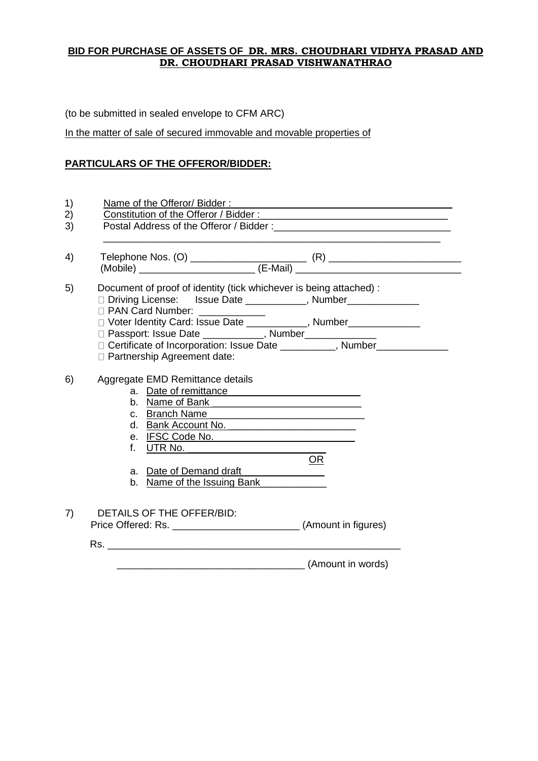### **BID FOR PURCHASE OF ASSETS OF DR. MRS. CHOUDHARI VIDHYA PRASAD AND DR. CHOUDHARI PRASAD VISHWANATHRAO**

(to be submitted in sealed envelope to CFM ARC)

In the matter of sale of secured immovable and movable properties of

# **PARTICULARS OF THE OFFEROR/BIDDER:**

| Document of proof of identity (tick whichever is being attached) :<br>□ Driving License: Issue Date ___________, Number____________<br><b>D</b> PAN Card Number:<br>□ Voter Identity Card: Issue Date ____________, Number_____________<br>□ Passport: Issue Date ___________, Number_________, Number_____________________<br>□ Partnership Agreement date: |                   |
|--------------------------------------------------------------------------------------------------------------------------------------------------------------------------------------------------------------------------------------------------------------------------------------------------------------------------------------------------------------|-------------------|
| Aggregate EMD Remittance details<br>a. Date of remittance<br>d. Bank Account No.<br>e. IFSC Code No.<br>f. <u>UTR No. _________________________</u><br>a. Date of Demand draft<br>b. Name of the Issuing Bank                                                                                                                                                | OR                |
| DETAILS OF THE OFFER/BID:                                                                                                                                                                                                                                                                                                                                    |                   |
|                                                                                                                                                                                                                                                                                                                                                              | (Amount in words) |